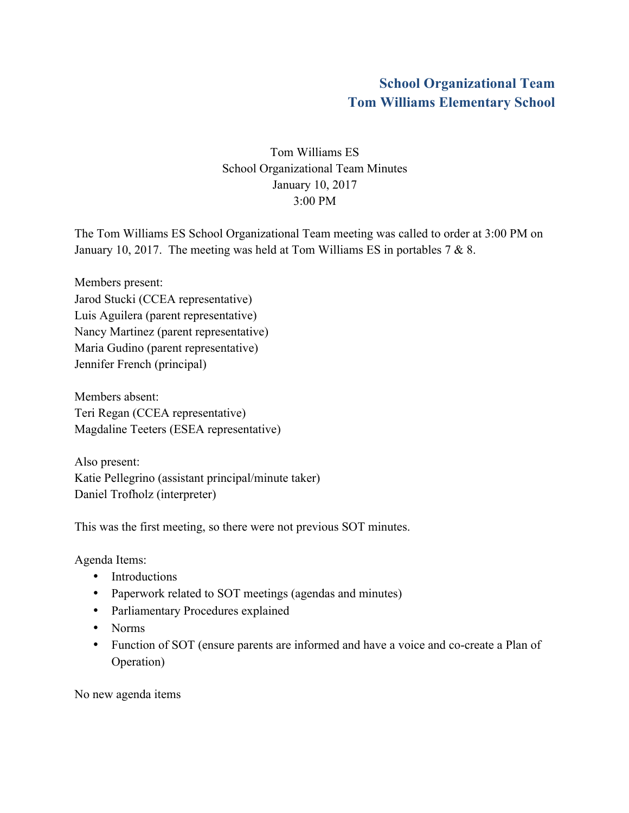## **School Organizational Team Tom Williams Elementary School**

Tom Williams ES School Organizational Team Minutes January 10, 2017 3:00 PM

The Tom Williams ES School Organizational Team meeting was called to order at 3:00 PM on January 10, 2017. The meeting was held at Tom Williams ES in portables 7 & 8.

Members present: Jarod Stucki (CCEA representative) Luis Aguilera (parent representative) Nancy Martinez (parent representative) Maria Gudino (parent representative) Jennifer French (principal)

Members absent: Teri Regan (CCEA representative) Magdaline Teeters (ESEA representative)

Also present: Katie Pellegrino (assistant principal/minute taker) Daniel Trofholz (interpreter)

This was the first meeting, so there were not previous SOT minutes.

Agenda Items:

- Introductions
- Paperwork related to SOT meetings (agendas and minutes)
- Parliamentary Procedures explained
- Norms
- Function of SOT (ensure parents are informed and have a voice and co-create a Plan of Operation)

No new agenda items